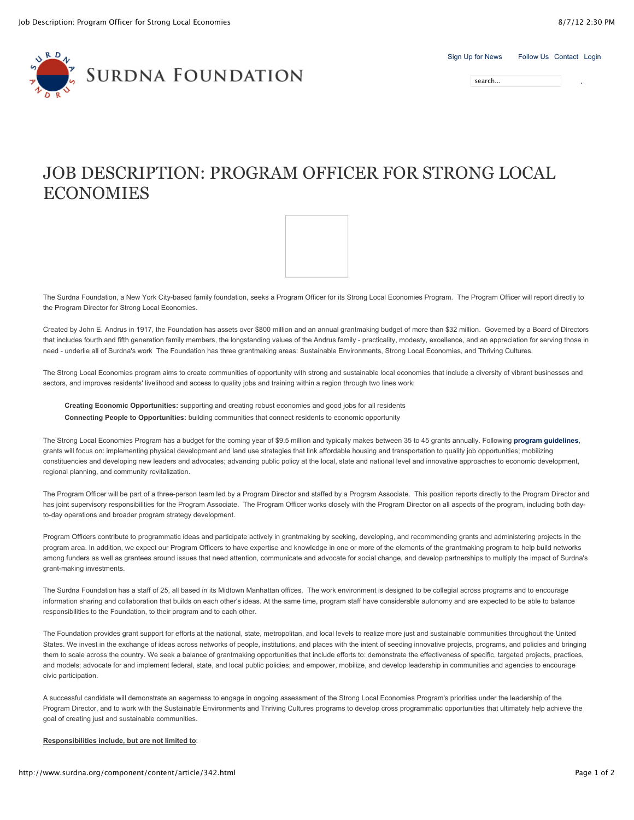| Sign Up for News | Follow Us Contact Login |  |
|------------------|-------------------------|--|
|                  |                         |  |

search...

# R<sub>D</sub> **SURDNA FOUNDATION**

## JOB DESCRIPTION: PROGRAM OFFICER FOR STRONG LOCAL ECONOMIES

The Surdna Foundation, a New York City-based family foundation, seeks a Program Officer for its Strong Local Economies Program. The Program Officer will report directly to the Program Director for Strong Local Economies.

Created by John E. Andrus in 1917, the Foundation has assets over \$800 million and an annual grantmaking budget of more than \$32 million. Governed by a Board of Directors that includes fourth and fifth generation family members, the longstanding values of the Andrus family - practicality, modesty, excellence, and an appreciation for serving those in need - underlie all of Surdna's work The Foundation has three grantmaking areas: Sustainable Environments, Strong Local Economies, and Thriving Cultures.

The Strong Local Economies program aims to create communities of opportunity with strong and sustainable local economies that include a diversity of vibrant businesses and sectors, and improves residents' livelihood and access to quality jobs and training within a region through two lines work:

**Creating Economic Opportunities:** supporting and creating robust economies and good jobs for all residents **Connecting People to Opportunities:** building communities that connect residents to economic opportunity

The Strong Local Economies Program has a budget for the coming year of \$9.5 million and typically makes between 35 to 45 grants annually. Following **[program guidelines](http://www.surdna.org/what-we-fund/strong-local-economies.html)**, grants will focus on: implementing physical development and land use strategies that link affordable housing and transportation to quality job opportunities; mobilizing constituencies and developing new leaders and advocates; advancing public policy at the local, state and national level and innovative approaches to economic development, regional planning, and community revitalization.

The Program Officer will be part of a three-person team led by a Program Director and staffed by a Program Associate. This position reports directly to the Program Director and has joint supervisory responsibilities for the Program Associate. The Program Officer works closely with the Program Director on all aspects of the program, including both dayto-day operations and broader program strategy development.

Program Officers contribute to programmatic ideas and participate actively in grantmaking by seeking, developing, and recommending grants and administering projects in the program area. In addition, we expect our Program Officers to have expertise and knowledge in one or more of the elements of the grantmaking program to help build networks among funders as well as grantees around issues that need attention, communicate and advocate for social change, and develop partnerships to multiply the impact of Surdna's grant-making investments.

The Surdna Foundation has a staff of 25, all based in its Midtown Manhattan offices. The work environment is designed to be collegial across programs and to encourage information sharing and collaboration that builds on each other's ideas. At the same time, program staff have considerable autonomy and are expected to be able to balance responsibilities to the Foundation, to their program and to each other.

The Foundation provides grant support for efforts at the national, state, metropolitan, and local levels to realize more just and sustainable communities throughout the United States. We invest in the exchange of ideas across networks of people, institutions, and places with the intent of seeding innovative projects, programs, and policies and bringing them to scale across the country. We seek a balance of grantmaking opportunities that include efforts to: demonstrate the effectiveness of specific, targeted projects, practices, and models; advocate for and implement federal, state, and local public policies; and empower, mobilize, and develop leadership in communities and agencies to encourage civic participation.

A successful candidate will demonstrate an eagerness to engage in ongoing assessment of the Strong Local Economies Program's priorities under the leadership of the Program Director, and to work with the Sustainable Environments and Thriving Cultures programs to develop cross programmatic opportunities that ultimately help achieve the goal of creating just and sustainable communities.

### **Responsibilities include, but are not limited to**: